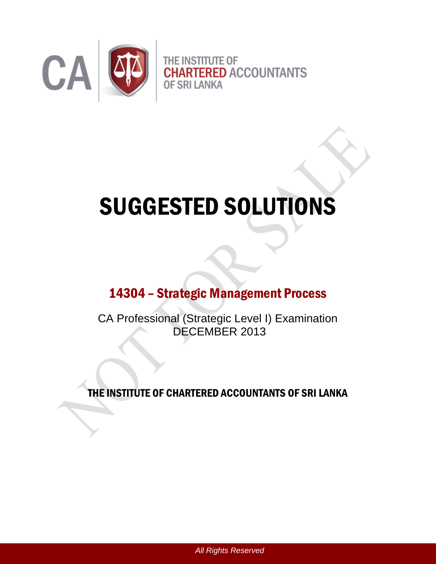

# SUGGESTED SOLUTIONS

# 14304 – Strategic Management Process

CA Professional (Strategic Level I) Examination DECEMBER 2013

THE INSTITUTE OF CHARTERED ACCOUNTANTS OF SRI LANKA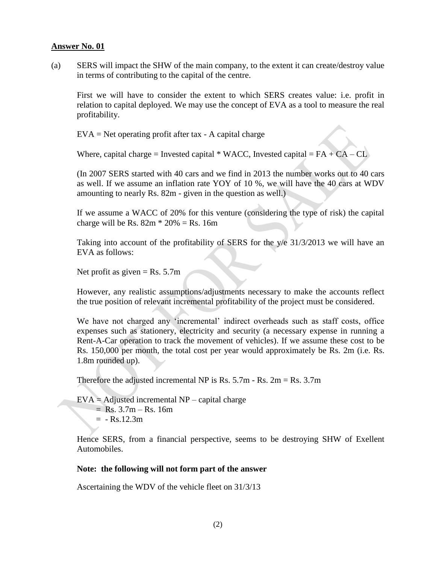## **Answer No. 01**

(a) SERS will impact the SHW of the main company, to the extent it can create/destroy value in terms of contributing to the capital of the centre.

First we will have to consider the extent to which SERS creates value: i.e. profit in relation to capital deployed. We may use the concept of EVA as a tool to measure the real profitability.

 $EVA = Net operating profit after tax - A capital charge$ 

Where, capital charge = Invested capital \* WACC, Invested capital =  $FA + CA - CL$ 

(In 2007 SERS started with 40 cars and we find in 2013 the number works out to 40 cars as well. If we assume an inflation rate YOY of 10 %, we will have the 40 cars at WDV amounting to nearly Rs. 82m - given in the question as well.)

If we assume a WACC of 20% for this venture (considering the type of risk) the capital charge will be Rs.  $82m * 20\% = Rs$ . 16m

Taking into account of the profitability of SERS for the y/e 31/3/2013 we will have an EVA as follows:

Net profit as given  $=$  Rs. 5.7m

However, any realistic assumptions/adjustments necessary to make the accounts reflect the true position of relevant incremental profitability of the project must be considered.

 We have not charged any 'incremental' indirect overheads such as staff costs, office expenses such as stationery, electricity and security (a necessary expense in running a Rent-A-Car operation to track the movement of vehicles). If we assume these cost to be Rs. 150,000 per month, the total cost per year would approximately be Rs. 2m (i.e. Rs. 1.8m rounded up).

Therefore the adjusted incremental NP is Rs.  $5.7m - Rs$ .  $2m = Rs$ .  $3.7m$ 

 $EVA =$  Adjusted incremental  $NP -$  capital charge  $=$  Rs. 3.7m – Rs. 16m

 $= -$  Rs.12.3m

Hence SERS, from a financial perspective, seems to be destroying SHW of Exellent Automobiles.

#### **Note: the following will not form part of the answer**

Ascertaining the WDV of the vehicle fleet on 31/3/13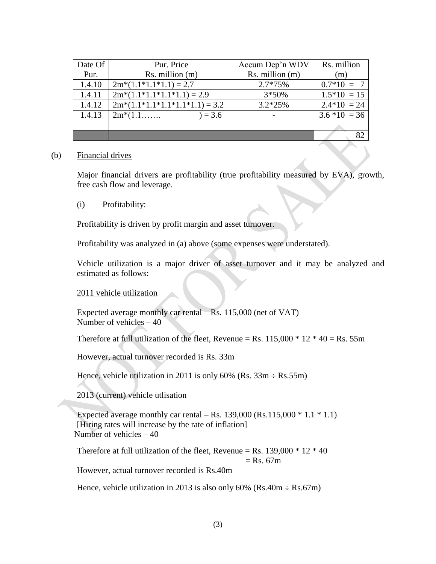| Date Of | Pur. Price                     | Accum Dep'n WDV | Rs. million     |
|---------|--------------------------------|-----------------|-----------------|
| Pur.    | $Rs.$ million $(m)$            | Rs. million (m) | (m)             |
| 1.4.10  | $2m*(1.1*1.1*1.1)=2.7$         | $2.7*75%$       | $0.7*10 = 7$    |
| 1.4.11  | $2m*(1.1*1.1*1.1*1.1)=2.9$     | 3*50%           | $1.5*10 = 15$   |
| 1.4.12  | $2m*(1.1*1.1*1.1*1.1*1.1)=3.2$ | $3.2*25%$       | $2.4*10 = 24$   |
| 1.4.13  | $2m*(1.1$<br>$) = 3.6$         |                 | $3.6 * 10 = 36$ |
|         |                                |                 |                 |
|         |                                |                 | 82              |

#### (b) Financial drives

Major financial drivers are profitability (true profitability measured by EVA), growth, free cash flow and leverage.

(i) Profitability:

Profitability is driven by profit margin and asset turnover.

Profitability was analyzed in (a) above (some expenses were understated).

Vehicle utilization is a major driver of asset turnover and it may be analyzed and estimated as follows:

#### 2011 vehicle utilization

Expected average monthly car rental – Rs. 115,000 (net of VAT) Number of vehicles – 40

Therefore at full utilization of the fleet, Revenue = Rs.  $115,000 * 12 * 40 =$  Rs.  $55m$ 

However, actual turnover recorded is Rs. 33m

Hence, vehicle utilization in 2011 is only 60% (Rs.  $33m \div Rs.55m$ )

#### 2013 (current) vehicle utlisation

Expected average monthly car rental – Rs.  $139,000$  (Rs.  $115,000 * 1.1 * 1.1$ ) [Hiring rates will increase by the rate of inflation] Number of vehicles – 40

Therefore at full utilization of the fleet, Revenue = Rs.  $139,000 * 12 * 40$  $=$  Rs. 67m

However, actual turnover recorded is Rs.40m

Hence, vehicle utilization in 2013 is also only 60% (Rs.40m  $\div$  Rs.67m)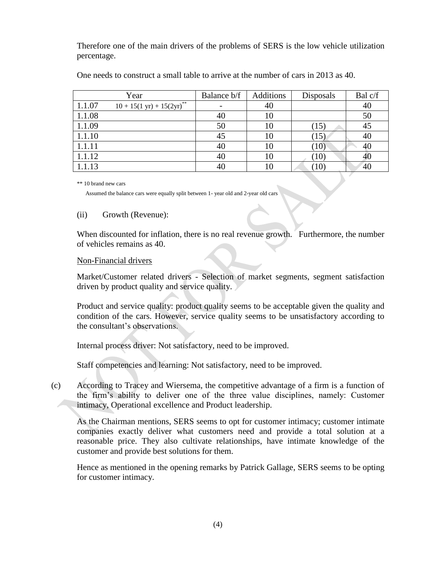Therefore one of the main drivers of the problems of SERS is the low vehicle utilization percentage.

| Year                                                     | Balance b/f | <b>Additions</b> | <b>Disposals</b> | Bal c/f |
|----------------------------------------------------------|-------------|------------------|------------------|---------|
| $10 + 15(1 \text{ yr}) + 15(2 \text{yr})^{**}$<br>1.1.07 |             | 40               |                  | 40      |
| 1.1.08                                                   | 40          | 10               |                  | 50      |
| 1.1.09                                                   | 50          | 10               | (15              | 45      |
| 1.1.10                                                   | 45          | 10               | (15              | 40      |
| 1.1.11                                                   | 40          | 10               | (10)             | 40      |
| 1.1.12                                                   | 40          | 10               | (10)             | 40      |
| 1.1.13                                                   | 40          | 10               | (10)             | 40      |

One needs to construct a small table to arrive at the number of cars in 2013 as 40.

\*\* 10 brand new cars

Assumed the balance cars were equally split between 1- year old and 2-year old cars

#### (ii) Growth (Revenue):

When discounted for inflation, there is no real revenue growth. Furthermore, the number of vehicles remains as 40.

## Non-Financial drivers

Market/Customer related drivers - Selection of market segments, segment satisfaction driven by product quality and service quality.

Product and service quality: product quality seems to be acceptable given the quality and condition of the cars. However, service quality seems to be unsatisfactory according to the consultant's observations.

Internal process driver: Not satisfactory, need to be improved.

Staff competencies and learning: Not satisfactory, need to be improved.

(c) According to Tracey and Wiersema, the competitive advantage of a firm is a function of the firm's ability to deliver one of the three value disciplines, namely: Customer intimacy, Operational excellence and Product leadership.

As the Chairman mentions, SERS seems to opt for customer intimacy; customer intimate companies exactly deliver what customers need and provide a total solution at a reasonable price. They also cultivate relationships, have intimate knowledge of the customer and provide best solutions for them.

Hence as mentioned in the opening remarks by Patrick Gallage, SERS seems to be opting for customer intimacy.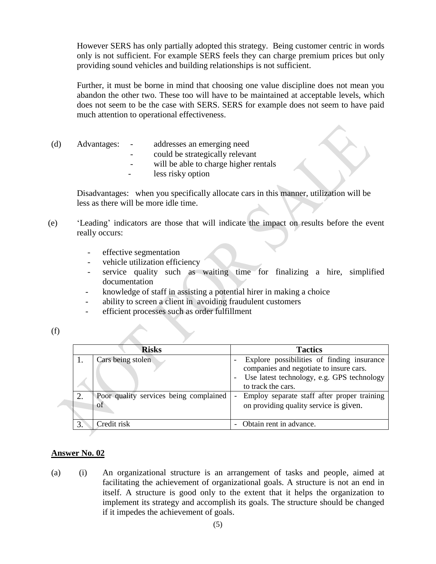However SERS has only partially adopted this strategy. Being customer centric in words only is not sufficient. For example SERS feels they can charge premium prices but only providing sound vehicles and building relationships is not sufficient.

Further, it must be borne in mind that choosing one value discipline does not mean you abandon the other two. These too will have to be maintained at acceptable levels, which does not seem to be the case with SERS. SERS for example does not seem to have paid much attention to operational effectiveness.

- (d) Advantages: addresses an emerging need
	- could be strategically relevant
	- will be able to charge higher rentals
	- less risky option

Disadvantages: when you specifically allocate cars in this manner, utilization will be less as there will be more idle time.

- (e) 'Leading' indicators are those that will indicate the impact on results before the event really occurs:
	- effective segmentation
	- vehicle utilization efficiency
	- service quality such as waiting time for finalizing a hire, simplified documentation
	- knowledge of staff in assisting a potential hirer in making a choice
	- ability to screen a client in avoiding fraudulent customers
	- efficient processes such as order fulfillment

| <b>Risks</b> |                                        | <b>Tactics</b> |                                             |
|--------------|----------------------------------------|----------------|---------------------------------------------|
|              | Cars being stolen                      |                | Explore possibilities of finding insurance  |
|              |                                        |                | companies and negotiate to insure cars.     |
|              |                                        |                | Use latest technology, e.g. GPS technology  |
|              |                                        |                | to track the cars.                          |
| 2.           | Poor quality services being complained | -              | Employ separate staff after proper training |
|              | of                                     |                | on providing quality service is given.      |
|              |                                        |                |                                             |
| 3.           | Credit risk                            |                | Obtain rent in advance.                     |

# **Answer No. 02**

(a) (i) An organizational structure is an arrangement of tasks and people, aimed at facilitating the achievement of organizational goals. A structure is not an end in itself. A structure is good only to the extent that it helps the organization to implement its strategy and accomplish its goals. The structure should be changed if it impedes the achievement of goals.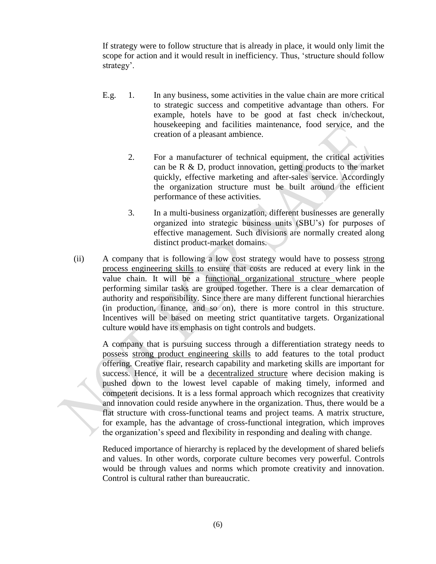If strategy were to follow structure that is already in place, it would only limit the scope for action and it would result in inefficiency. Thus, 'structure should follow strategy'.

- E.g. 1. In any business, some activities in the value chain are more critical to strategic success and competitive advantage than others. For example, hotels have to be good at fast check in/checkout, housekeeping and facilities maintenance, food service, and the creation of a pleasant ambience.
	- 2. For a manufacturer of technical equipment, the critical activities can be R & D, product innovation, getting products to the market quickly, effective marketing and after-sales service. Accordingly the organization structure must be built around the efficient performance of these activities.
	- 3. In a multi-business organization, different businesses are generally organized into strategic business units (SBU's) for purposes of effective management. Such divisions are normally created along distinct product-market domains.
- (ii) A company that is following a low cost strategy would have to possess strong process engineering skills to ensure that costs are reduced at every link in the value chain. It will be a functional organizational structure where people performing similar tasks are grouped together. There is a clear demarcation of authority and responsibility. Since there are many different functional hierarchies (in production, finance, and so on), there is more control in this structure. Incentives will be based on meeting strict quantitative targets. Organizational culture would have its emphasis on tight controls and budgets.

A company that is pursuing success through a differentiation strategy needs to possess strong product engineering skills to add features to the total product offering. Creative flair, research capability and marketing skills are important for success. Hence, it will be a decentralized structure where decision making is pushed down to the lowest level capable of making timely, informed and competent decisions. It is a less formal approach which recognizes that creativity and innovation could reside anywhere in the organization. Thus, there would be a flat structure with cross-functional teams and project teams. A matrix structure, for example, has the advantage of cross-functional integration, which improves the organization's speed and flexibility in responding and dealing with change.

Reduced importance of hierarchy is replaced by the development of shared beliefs and values. In other words, corporate culture becomes very powerful. Controls would be through values and norms which promote creativity and innovation. Control is cultural rather than bureaucratic.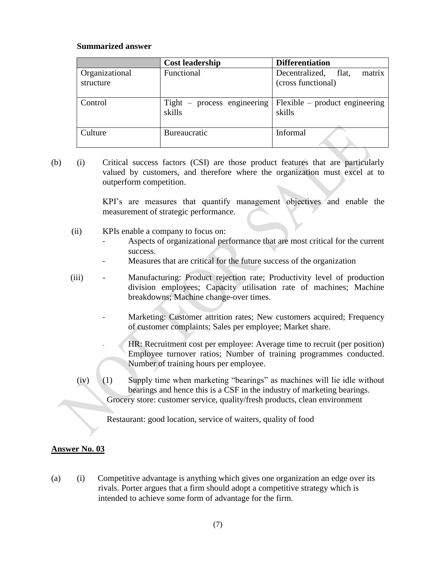## **Summarized answer**

|                             | <b>Cost leadership</b>                  | <b>Differentiation</b>                                  |
|-----------------------------|-----------------------------------------|---------------------------------------------------------|
| Organizational<br>structure | Functional                              | matrix<br>Decentralized,<br>flat,<br>(cross functional) |
| Control                     | $Tight$ – process engineering<br>skills | $F$ lexible – product engineering<br>skills             |
| Culture                     | Bureaucratic                            | Informal                                                |

(b) (i) Critical success factors (CSI) are those product features that are particularly valued by customers, and therefore where the organization must excel at to outperform competition.

> KPI's are measures that quantify management objectives and enable the measurement of strategic performance.

- (ii) KPIs enable a company to focus on:
	- Aspects of organizational performance that are most critical for the current success.
	- Measures that are critical for the future success of the organization
- (iii) Manufacturing: Product rejection rate; Productivity level of production division employees; Capacity utilisation rate of machines; Machine breakdowns; Machine change-over times.
	- Marketing: Customer attrition rates; New customers acquired; Frequency of customer complaints; Sales per employee; Market share.

HR: Recruitment cost per employee: Average time to recruit (per position) Employee turnover ratios; Number of training programmes conducted. Number of training hours per employee.

(iv) (1) Supply time when marketing "bearings" as machines will lie idle without bearings and hence this is a CSF in the industry of marketing bearings. Grocery store: customer service, quality/fresh products, clean environment

Restaurant: good location, service of waiters, quality of food

# **Answer No. 03**

(a) (i) Competitive advantage is anything which gives one organization an edge over its rivals. Porter argues that a firm should adopt a competitive strategy which is intended to achieve some form of advantage for the firm.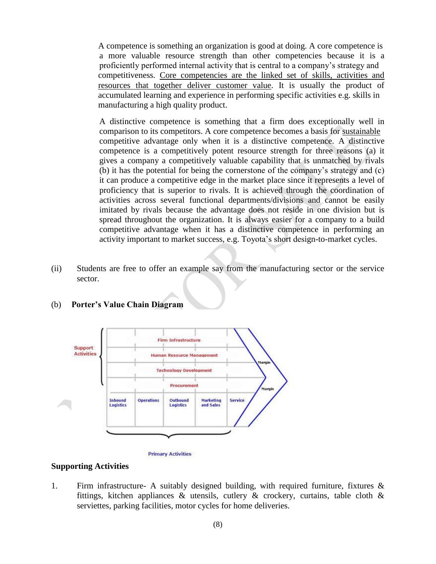A competence is something an organization is good at doing. A core competence is a more valuable resource strength than other competencies because it is a proficiently performed internal activity that is central to a company's strategy and competitiveness. Core competencies are the linked set of skills, activities and resources that together deliver customer value. It is usually the product of accumulated learning and experience in performing specific activities e.g. skills in manufacturing a high quality product.

A distinctive competence is something that a firm does exceptionally well in comparison to its competitors. A core competence becomes a basis for sustainable competitive advantage only when it is a distinctive competence. A distinctive competence is a competitively potent resource strength for three reasons (a) it gives a company a competitively valuable capability that is unmatched by rivals (b) it has the potential for being the cornerstone of the company's strategy and (c) it can produce a competitive edge in the market place since it represents a level of proficiency that is superior to rivals. It is achieved through the coordination of activities across several functional departments/divisions and cannot be easily imitated by rivals because the advantage does not reside in one division but is spread throughout the organization. It is always easier for a company to a build competitive advantage when it has a distinctive competence in performing an activity important to market success, e.g. Toyota's short design-to-market cycles.

(ii) Students are free to offer an example say from the manufacturing sector or the service sector.



# (b) **Porter's Value Chain Diagram**

# **Supporting Activities**

1. Firm infrastructure- A suitably designed building, with required furniture, fixtures & fittings, kitchen appliances  $\&$  utensils, cutlery  $\&$  crockery, curtains, table cloth  $\&$ serviettes, parking facilities, motor cycles for home deliveries.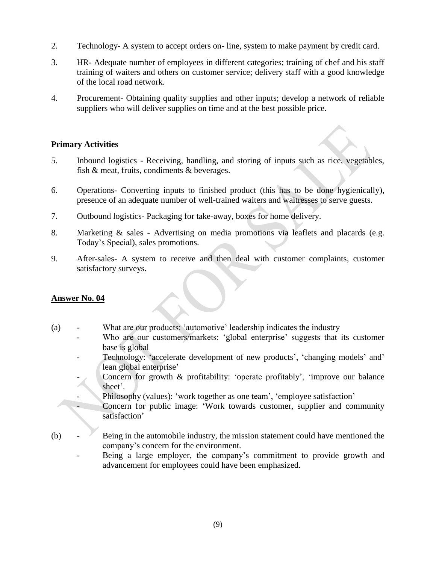- 2. Technology- A system to accept orders on- line, system to make payment by credit card.
- 3. HR- Adequate number of employees in different categories; training of chef and his staff training of waiters and others on customer service; delivery staff with a good knowledge of the local road network.
- 4. Procurement- Obtaining quality supplies and other inputs; develop a network of reliable suppliers who will deliver supplies on time and at the best possible price.

# **Primary Activities**

- 5. Inbound logistics Receiving, handling, and storing of inputs such as rice, vegetables, fish & meat, fruits, condiments & beverages.
- 6. Operations- Converting inputs to finished product (this has to be done hygienically), presence of an adequate number of well-trained waiters and waitresses to serve guests.
- 7. Outbound logistics- Packaging for take-away, boxes for home delivery.
- 8. Marketing & sales Advertising on media promotions via leaflets and placards (e.g. Today's Special), sales promotions.
- 9. After-sales- A system to receive and then deal with customer complaints, customer satisfactory surveys.

# **Answer No. 04**

- (a) What are our products: 'automotive' leadership indicates the industry
	- Who are our customers/markets: 'global enterprise' suggests that its customer base is global
		- Technology: 'accelerate development of new products', 'changing models' and' lean global enterprise'
		- Concern for growth & profitability: 'operate profitably', 'improve our balance sheet'.
		- Philosophy (values): 'work together as one team', 'employee satisfaction'
			- Concern for public image: 'Work towards customer, supplier and community satisfaction'
- (b) Being in the automobile industry, the mission statement could have mentioned the company's concern for the environment.
	- Being a large employer, the company's commitment to provide growth and advancement for employees could have been emphasized.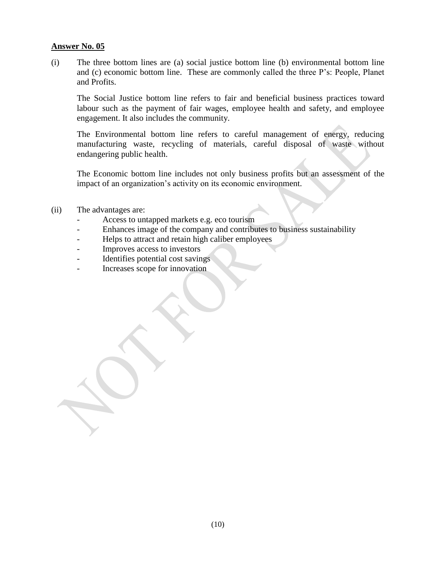## **Answer No. 05**

(i) The three bottom lines are (a) social justice bottom line (b) environmental bottom line and (c) economic bottom line. These are commonly called the three P's: People, Planet and Profits.

The Social Justice bottom line refers to fair and beneficial business practices toward labour such as the payment of fair wages, employee health and safety, and employee engagement. It also includes the community.

The Environmental bottom line refers to careful management of energy, reducing manufacturing waste, recycling of materials, careful disposal of waste without endangering public health.

The Economic bottom line includes not only business profits but an assessment of the impact of an organization's activity on its economic environment.

- (ii) The advantages are:
	- Access to untapped markets e.g. eco tourism
	- Enhances image of the company and contributes to business sustainability
	- Helps to attract and retain high caliber employees
	- Improves access to investors
	- Identifies potential cost savings
	- Increases scope for innovation